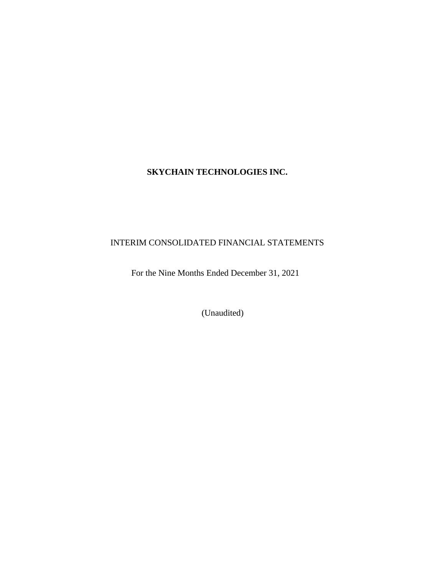# **SKYCHAIN TECHNOLOGIES INC.**

# INTERIM CONSOLIDATED FINANCIAL STATEMENTS

For the Nine Months Ended December 31, 2021

(Unaudited)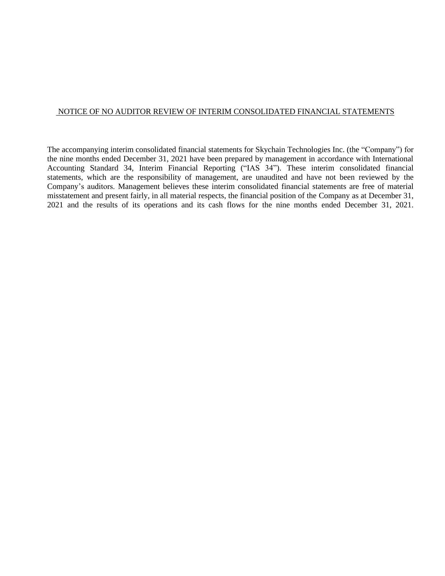# NOTICE OF NO AUDITOR REVIEW OF INTERIM CONSOLIDATED FINANCIAL STATEMENTS

The accompanying interim consolidated financial statements for Skychain Technologies Inc. (the "Company") for the nine months ended December 31, 2021 have been prepared by management in accordance with International Accounting Standard 34, Interim Financial Reporting ("IAS 34"). These interim consolidated financial statements, which are the responsibility of management, are unaudited and have not been reviewed by the Company's auditors. Management believes these interim consolidated financial statements are free of material misstatement and present fairly, in all material respects, the financial position of the Company as at December 31, 2021 and the results of its operations and its cash flows for the nine months ended December 31, 2021.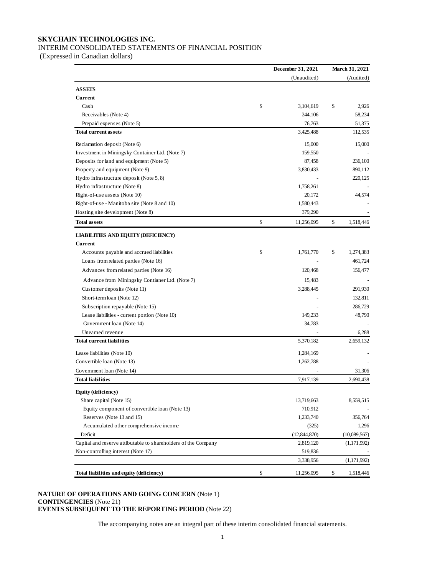# **SKYCHAIN TECHNOLOGIES INC.**

# INTERIM CONSOLIDATED STATEMENTS OF FINANCIAL POSITION

(Expressed in Canadian dollars)

|                                                                | December 31, 2021 | <b>March 31, 2021</b> |
|----------------------------------------------------------------|-------------------|-----------------------|
|                                                                | (Unaudited)       | (Audited)             |
| <b>ASSETS</b>                                                  |                   |                       |
| <b>Current</b>                                                 |                   |                       |
| Cash                                                           | \$<br>3,104,619   | \$<br>2,926           |
| Receivables (Note 4)                                           | 244,106           | 58,234                |
| Prepaid expenses (Note 5)                                      | 76,763            | 51,375                |
| <b>Total current assets</b>                                    | 3,425,488         | 112,535               |
| Reclamation deposit (Note 6)                                   | 15,000            | 15,000                |
| Investment in Miningsky Container Ltd. (Note 7)                | 159,550           |                       |
| Deposits for land and equipment (Note 5)                       | 87,458            | 236,100               |
| Property and equipment (Note 9)                                | 3,830,433         | 890,112               |
| Hydro infrastructure deposit (Note 5, 8)                       |                   | 220,125               |
| Hydro infrastructure (Note 8)                                  | 1,758,261         |                       |
| Right-of-use assets (Note 10)                                  | 20,172            | 44,574                |
| Right-of-use - Manitoba site (Note 8 and 10)                   | 1,580,443         |                       |
| Hosting site development (Note 8)                              | 379,290           |                       |
| <b>Total assets</b>                                            | \$<br>11,256,095  | \$<br>1,518,446       |
| <b>LIABILITIES AND EQUITY (DEFICIENCY)</b>                     |                   |                       |
| <b>Current</b>                                                 |                   |                       |
| Accounts payable and accrued liabilities                       | \$<br>1,761,770   | \$<br>1,274,383       |
| Loans from related parties (Note 16)                           |                   | 461,724               |
| Advances from related parties (Note 16)                        | 120,468           | 156,477               |
| Advance from Miningsky Contianer Ltd. (Note 7)                 | 15,483            |                       |
| Customer deposits (Note 11)                                    | 3,288,445         | 291,930               |
| Short-term loan (Note 12)                                      |                   | 132,811               |
| Subscription repayable (Note 15)                               |                   | 286,729               |
| Lease liabilities - current portion (Note 10)                  | 149,233           | 48,790                |
| Government loan (Note 14)                                      | 34,783            |                       |
| Unearned revenue                                               |                   | 6,288                 |
| <b>Total current liabilities</b>                               | 5,370,182         | 2,659,132             |
|                                                                |                   |                       |
| Lease liabilities (Note 10)                                    | 1,284,169         |                       |
| Convertible loan (Note 13)                                     | 1,262,788         |                       |
| Government loan (Note 14)                                      |                   | 31,306                |
| <b>Total liabilities</b>                                       | 7,917,139         | 2,690,438             |
| Equity (deficiency)                                            |                   |                       |
| Share capital (Note 15)                                        | 13,719,663        | 8,559,515             |
| Equity component of convertible loan (Note 13)                 | 710,912           |                       |
| Reserves (Note 13 and 15)                                      | 1,233,740         | 356,764               |
| Accumulated other comprehensive income                         | (325)             | 1,296                 |
| Deficit                                                        | (12, 844, 870)    | (10,089,567)          |
| Capital and reserve attibutable to shareholders of the Company | 2,819,120         | (1, 171, 992)         |
| Non-controlling interest (Note 17)                             | 519,836           |                       |
|                                                                | 3,338,956         | (1, 171, 992)         |
| Total liabilities and equity (deficiency)                      | \$<br>11,256,095  | \$<br>1,518,446       |

#### **NATURE OF OPERATIONS AND GOING CONCERN** (Note 1) **CONTINGENCIES** (Note 21) **EVENTS SUBSEQUENT TO THE REPORTING PERIOD** (Note 22)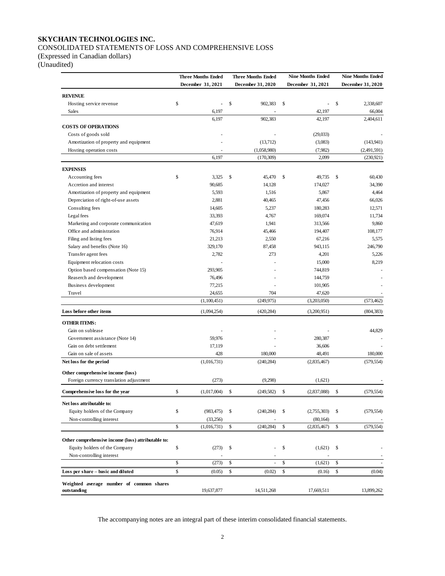# **SKYCHAIN TECHNOLOGIES INC.** CONSOLIDATED STATEMENTS OF LOSS AND COMPREHENSIVE LOSS

(Expressed in Canadian dollars)

(Unaudited)

|                                                                              | <b>Three Months Ended</b>     | <b>Three Months Ended</b> |              | <b>Nine Months Ended</b> |              | <b>Nine Months Ended</b> |
|------------------------------------------------------------------------------|-------------------------------|---------------------------|--------------|--------------------------|--------------|--------------------------|
|                                                                              | December 31, 2021             | December 31, 2020         |              | December 31, 2021        |              | December 31, 2020        |
| <b>REVENUE</b>                                                               |                               |                           |              |                          |              |                          |
| Hosting service revenue                                                      | \$<br>۰                       | \$<br>902,383             | $\mathbb{S}$ | $\overline{\phantom{0}}$ | \$           | 2,338,607                |
| Sales                                                                        | 6,197                         |                           |              | 42,197                   |              | 66,004                   |
|                                                                              | 6,197                         | 902,383                   |              | 42,197                   |              | 2,404,611                |
| <b>COSTS OF OPERATIONS</b>                                                   |                               |                           |              |                          |              |                          |
| Costs of goods sold                                                          |                               |                           |              | (29,033)                 |              |                          |
| Amortization of property and equipment                                       |                               | (13,712)                  |              | (3,083)                  |              | (143, 941)               |
| Hosting operation costs                                                      |                               | (1,058,980)               |              | (7,982)                  |              | (2,491,591)              |
|                                                                              | 6,197                         | (170, 309)                |              | 2,099                    |              | (230, 921)               |
| <b>EXPENSES</b>                                                              |                               |                           |              |                          |              |                          |
| Accounting fees                                                              | \$<br>3,325                   | \$<br>45,470              | \$           | 49,735                   | $\mathbb{S}$ | 60,430                   |
| Accretion and interest                                                       | 90,685                        | 14,128                    |              | 174,027                  |              | 34,390                   |
| Amortization of property and equipment                                       | 5,593                         | 1,516                     |              | 5,867                    |              | 4,464                    |
| Depreciation of right-of-use assets                                          | 2,881                         | 40,465                    |              | 47,456                   |              | 66,026                   |
| Consulting fees                                                              | 14,605                        | 5,237                     |              | 180,283                  |              | 12,571                   |
| Legal fees                                                                   | 33,393                        | 4,767                     |              | 169,074                  |              | 11,734                   |
| Marketing and corporate communication                                        | 47,619                        | 1,941                     |              | 313,566                  |              | 9,860                    |
| Office and administration                                                    | 76,914                        | 45,466                    |              | 194,407                  |              | 108,177                  |
| Filing and listing fees                                                      | 21,213                        | 2,550                     |              | 67,216                   |              | 5,575                    |
| Salary and benefits (Note 16)                                                | 329,170                       | 87,458                    |              | 943,115                  |              | 246,790                  |
| Transfer agent fees                                                          | 2,782                         | 273                       |              | 4,201                    |              | 5,226                    |
| Equipment relocation costs                                                   |                               |                           |              | 15,000                   |              | 8,219                    |
| Option based compensation (Note 15)                                          | 293,905                       |                           |              | 744,819                  |              |                          |
| Reaserch and development                                                     | 76,496                        |                           |              | 144,759                  |              |                          |
| Business development                                                         | 77,215                        |                           |              | 101,905                  |              |                          |
| Travel                                                                       | 24,655                        | 704                       |              | 47,620                   |              |                          |
|                                                                              | (1,100,451)                   | (249, 975)                |              | (3,203,050)              |              | (573, 462)               |
| Loss before other items                                                      | (1,094,254)                   | (420, 284)                |              | (3,200,951)              |              | (804, 383)               |
| <b>OTHER ITEMS:</b>                                                          |                               |                           |              |                          |              |                          |
| Gain on sublease                                                             |                               |                           |              |                          |              | 44,829                   |
| Government assistance (Note 14)                                              | 59,976                        |                           |              | 280,387                  |              |                          |
| Gain on debt settlement                                                      | 17,119                        |                           |              | 36,606                   |              |                          |
| Gain on sale of assets                                                       | 428                           | 180,000                   |              | 48,491                   |              | 180,000                  |
| Net loss for the period                                                      | (1,016,731)                   | (240, 284)                |              | (2,835,467)              |              | (579, 554)               |
|                                                                              |                               |                           |              |                          |              |                          |
| Other comprehensive income (loss)<br>Foreign currency translation adjustment | (273)                         | (9,298)                   |              | (1,621)                  |              |                          |
| Comprehensive loss for the year                                              | \$<br>(1,017,004)             | \$<br>(249, 582)          | \$           | (2,837,088)              | \$           | (579, 554)               |
|                                                                              |                               |                           |              |                          |              |                          |
| Net loss attributable to:                                                    |                               |                           |              |                          |              |                          |
| Equity holders of the Company                                                | \$<br>(983, 475)              | \$<br>(240, 284)          | \$           | (2,755,303)              | \$           | (579, 554)               |
| Non-controlling interest                                                     | \$<br>(33,256)<br>(1,016,731) | \$<br>(240, 284)          | \$           | (80, 164)<br>(2,835,467) | \$           | (579, 554)               |
|                                                                              |                               |                           |              |                          |              |                          |
| Other comprehensive income (loss) attributable to:                           |                               |                           |              |                          |              |                          |
| Equity holders of the Company                                                | \$<br>(273)                   | \$                        | \$           | (1,621)                  | \$           |                          |
| Non-controlling interest                                                     |                               |                           |              |                          |              |                          |
|                                                                              | \$<br>(273)                   | \$<br>÷.                  | \$           | (1,621)                  | \$           |                          |
| Loss per share - basic and diluted                                           | \$<br>(0.05)                  | \$<br>(0.02)              | \$           | (0.16)                   | \$           | (0.04)                   |
| Weighted average number of common shares                                     |                               |                           |              |                          |              |                          |
| outstanding                                                                  | 19,637,877                    | 14,511,268                |              | 17,669,511               |              | 13,899,262               |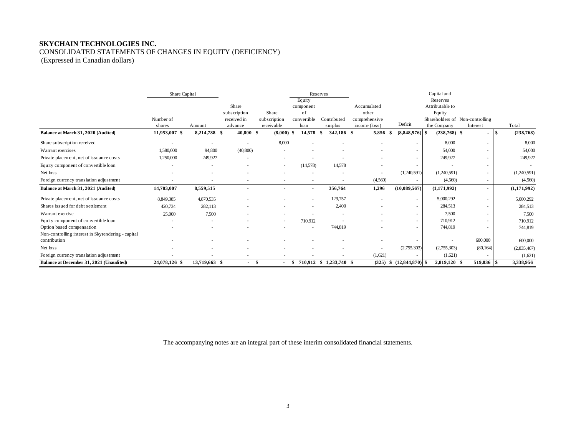# **SKYCHAIN TECHNOLOGIES INC.** CONSOLIDATED STATEMENTS OF CHANGES IN EQUITY (DEFICIENCY) (Expressed in Canadian dollars)

|                                                    | Share Capital            |               |                          |                          |             | Reserves                |               |                     | Capital and     |                                 |                   |
|----------------------------------------------------|--------------------------|---------------|--------------------------|--------------------------|-------------|-------------------------|---------------|---------------------|-----------------|---------------------------------|-------------------|
|                                                    |                          |               |                          |                          | Equity      |                         |               |                     | Reserves        |                                 |                   |
|                                                    |                          |               | Share                    |                          | component   |                         | Accumulated   |                     | Attributable to |                                 |                   |
|                                                    |                          |               | subscription             | Share                    | of          |                         | other         |                     | Equity          |                                 |                   |
|                                                    | Number of                |               | received in              | subscription             | convertible | Contributed             | comprehensive |                     |                 | Shareholders of Non-controlling |                   |
|                                                    | shares                   | Amount        | advance                  | receivable               | loan        | surplus                 | income (loss) | Deficit             | the Company     | Interest                        | Total             |
| Balance at March 31, 2020 (Audited)                | 11,953,007 \$            | 8,214,788 \$  | 40,800 \$                | $(8,000)$ \$             | 14,578      | 342.186 \$<br>-\$       | 5,856 \$      | $(8,848,976)$ \$    | $(238,768)$ \$  | $\sim$                          | (238,768)<br>l \$ |
| Share subscription received                        | $\overline{\phantom{a}}$ | ٠             | $\sim$                   | 8,000                    |             |                         | $\sim$        | $\sim$              | 8,000           | ٠                               | 8,000             |
| Warrant exercises                                  | 1,580,000                | 94,800        | (40, 800)                |                          |             |                         |               |                     | 54,000          |                                 | 54,000            |
| Private placement, net of issuance costs           | 1,250,000                | 249,927       |                          |                          |             |                         |               |                     | 249,927         |                                 | 249,927           |
| Equity component of convertible loan               |                          |               |                          | $\sim$                   | (14,578)    | 14.578                  |               |                     |                 | ٠                               |                   |
| Net loss                                           |                          |               |                          |                          |             |                         |               | (1,240,591)         | (1,240,591)     | ٠                               | (1,240,591)       |
| Foreign currency translation adjustment            | $\sim$                   |               | $\overline{\phantom{a}}$ | $\overline{\phantom{a}}$ | $\sim$      |                         | (4,560)       |                     | (4,560)         | $\sim$                          | (4,560)           |
| Balance at March 31, 2021 (Audited)                | 14,783,007               | 8,559,515     |                          |                          | $\sim$      | 356,764                 | 1,296         | (10,089,567)        | (1,171,992)     | $\blacksquare$                  | (1,171,992)       |
| Private placement, net of issuance costs           | 8,849,385                | 4,870,535     |                          |                          |             | 129,757                 |               |                     | 5,000,292       | $\overline{\phantom{a}}$        | 5,000,292         |
| Shares issued for debt settlement                  | 420,734                  | 282,113       |                          |                          |             | 2,400                   |               |                     | 284,513         | ٠                               | 284,513           |
| Warrant exercise                                   | 25,000                   | 7,500         |                          |                          |             |                         |               |                     | 7,500           | $\overline{\phantom{a}}$        | 7,500             |
| Equity component of convertible loan               |                          |               |                          | ٠                        | 710,912     |                         |               | $\sim$              | 710,912         | ٠                               | 710,912           |
| Option based compensation                          |                          |               |                          |                          |             | 744.819                 |               |                     | 744,819         |                                 | 744,819           |
| Non-controlling interest in Skyrendering - capital |                          |               |                          |                          |             |                         |               |                     |                 |                                 |                   |
| contribution                                       |                          |               |                          |                          |             |                         |               |                     |                 | 600,000                         | 600,000           |
| Net loss                                           |                          |               |                          |                          |             |                         |               | (2,755,303)         | (2,755,303)     | (80, 164)                       | (2,835,467)       |
| Foreign currency translation adjustment            |                          |               | ٠                        |                          |             |                         | (1,621)       |                     | (1,621)         |                                 | (1,621)           |
| Balance at December 31, 2021 (Unaudited)           | 24,078,126 \$            | 13,719,663 \$ | $\sim$                   | - \$<br>$\sim$ 100 $\mu$ | - \$        | 710,912 \$ 1,233,740 \$ | (325)         | $$(12,844,870)$ \\$ | 2,819,120 \$    | 519,836 \$                      | 3,338,956         |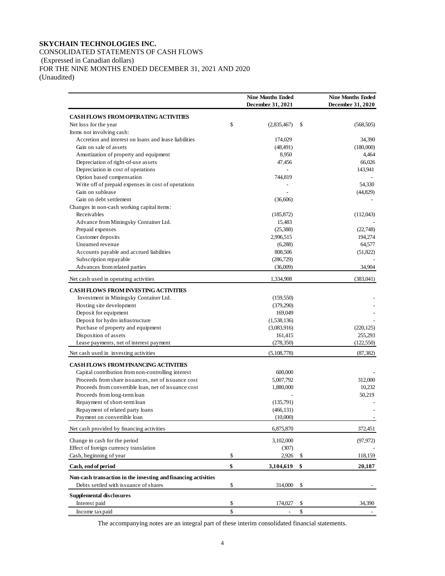# **SKYCHAIN TECHNOLOGIES INC.** CONSOLIDATED STATEMENTS OF CASH FLOWS (Expressed in Canadian dollars) FOR THE NINE MONTHS ENDED DECEMBER 31, 2021 AND 2020 (Unaudited)

|                                                                | <b>Nine Months Ended</b> |    | <b>Nine Months Ended</b> |
|----------------------------------------------------------------|--------------------------|----|--------------------------|
|                                                                | December 31, 2021        |    | December 31, 2020        |
| <b>CASH FLOWS FROM OPERATING ACTIVITIES</b>                    |                          |    |                          |
| Net loss for the year                                          | \$<br>(2,835,467)        | \$ | (568, 505)               |
| Items not involving cash:                                      |                          |    |                          |
| Accretion and interest on loans and lease liabilities          | 174,029                  |    | 34,390                   |
| Gain on sale of assets                                         | (48, 491)                |    | (180,000)                |
| Amortization of property and equipment                         | 8,950                    |    | 4,464                    |
| Depreciation of right-of-use assets                            | 47,456                   |    | 66,026                   |
| Depreciation in cost of operations                             |                          |    | 143,941                  |
| Option based compensation                                      | 744,819                  |    |                          |
| Write off of prepaid expenses in cost of operations            |                          |    | 54.330                   |
| Gain on sublease                                               |                          |    | (44,829)                 |
| Gain on debt settlement                                        | (36,606)                 |    |                          |
| Changes in non-cash working capital items:                     |                          |    |                          |
| Receivables                                                    | (185, 872)               |    | (112,043)                |
| Advance from Miningsky Container Ltd.                          | 15,483                   |    |                          |
| Prepaid expenses                                               | (25, 388)                |    | (22,748)                 |
| Customer deposits                                              | 2,996,515                |    | 194,274                  |
| Unearned revenue                                               | (6,288)                  |    | 64,577                   |
| Accounts payable and accrued liabilities                       | 808,506                  |    | (51, 822)                |
| Subscription repayable                                         | (286, 729)               |    |                          |
| Advances from related parties                                  | (36,009)                 |    | 34,904                   |
| Net cash used in operating activities                          | 1,334,908                |    | (383, 041)               |
| <b>CASH FLOWS FROM INVESTING ACTIVITIES</b>                    |                          |    |                          |
| Investment in Miningsky Container Ltd.                         | (159, 550)               |    |                          |
| Hosting site development                                       | (379,290)                |    |                          |
| Deposit for equipment                                          | 169,049                  |    |                          |
| Deposit for hydro infrastructure                               | (1,538,136)              |    |                          |
| Purchase of property and equipment                             | (3,083,916)              |    | (220, 125)               |
| Disposition of assets                                          | 161,415                  |    | 255,293                  |
| Lease payments, net of interest payment                        | (278, 350)               |    | (122, 550)               |
| Net cash used in investing activities                          | (5,108,778)              |    | (87, 382)                |
| <b>CASH FLOWS FROM FINANCING ACTIVITIES</b>                    |                          |    |                          |
| Capital contribution from non-controlling interest             | 600,000                  |    |                          |
| Proceeds from share issuances, net of issuance cost            | 5,007,792                |    | 312,000                  |
| Proceeds from convertible loan, net of issuance cost           | 1,880,000                |    | 10,232                   |
| Proceeds from long-term loan                                   |                          |    | 50,219                   |
| Repayment of short-term loan                                   | (135,791)                |    |                          |
| Repayment of related party loans                               | (466, 131)               |    |                          |
| Payment on convertible loan                                    | (10,000)                 |    |                          |
| Net cash provided by financing activities                      | 6,875,870                |    | 372,451                  |
| Change in cash for the period                                  | 3,102,000                |    | (97, 972)                |
| Effect of foreign currency translation                         | (307)                    |    |                          |
| Cash, beginning of year                                        | \$<br>2,926              | S  | 118,159                  |
| Cash, end of period                                            | \$<br>3,104,619          | \$ | 20,187                   |
| Non-cash transaction in the investing and financing activities |                          |    |                          |
| Debts settled with issuance of shares                          | \$<br>314,000            | \$ |                          |
| <b>Supplemental disclosures</b>                                |                          |    |                          |
| Interest paid                                                  | \$<br>174,027            | \$ | 34,390                   |
| Income tax paid                                                | \$                       | \$ |                          |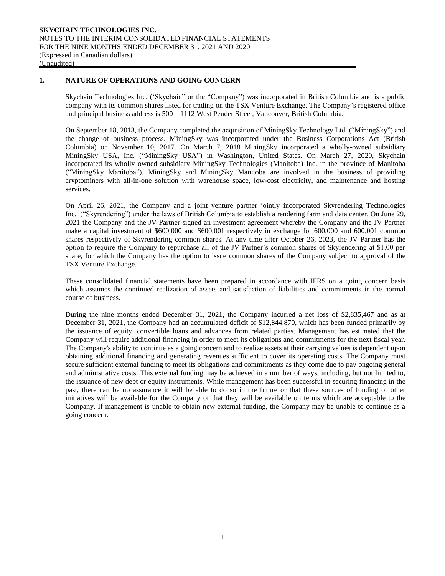# **1. NATURE OF OPERATIONS AND GOING CONCERN**

Skychain Technologies Inc. ('Skychain" or the "Company") was incorporated in British Columbia and is a public company with its common shares listed for trading on the TSX Venture Exchange. The Company's registered office and principal business address is 500 – 1112 West Pender Street, Vancouver, British Columbia.

On September 18, 2018, the Company completed the acquisition of MiningSky Technology Ltd. ("MiningSky") and the change of business process. MiningSky was incorporated under the Business Corporations Act (British Columbia) on November 10, 2017. On March 7, 2018 MiningSky incorporated a wholly-owned subsidiary MiningSky USA, Inc. ("MiningSky USA") in Washington, United States. On March 27, 2020, Skychain incorporated its wholly owned subsidiary MiningSky Technologies (Manitoba) Inc. in the province of Manitoba ("MiningSky Manitoba"). MiningSky and MiningSky Manitoba are involved in the business of providing cryptominers with all-in-one solution with warehouse space, low-cost electricity, and maintenance and hosting services.

On April 26, 2021, the Company and a joint venture partner jointly incorporated Skyrendering Technologies Inc. ("Skyrendering") under the laws of British Columbia to establish a rendering farm and data center. On June 29, 2021 the Company and the JV Partner signed an investment agreement whereby the Company and the JV Partner make a capital investment of \$600,000 and \$600,001 respectively in exchange for 600,000 and 600,001 common shares respectively of Skyrendering common shares. At any time after October 26, 2023, the JV Partner has the option to require the Company to repurchase all of the JV Partner's common shares of Skyrendering at \$1.00 per share, for which the Company has the option to issue common shares of the Company subject to approval of the TSX Venture Exchange.

These consolidated financial statements have been prepared in accordance with IFRS on a going concern basis which assumes the continued realization of assets and satisfaction of liabilities and commitments in the normal course of business.

During the nine months ended December 31, 2021, the Company incurred a net loss of \$2,835,467 and as at December 31, 2021, the Company had an accumulated deficit of \$12,844,870, which has been funded primarily by the issuance of equity, convertible loans and advances from related parties. Management has estimated that the Company will require additional financing in order to meet its obligations and commitments for the next fiscal year. The Company's ability to continue as a going concern and to realize assets at their carrying values is dependent upon obtaining additional financing and generating revenues sufficient to cover its operating costs. The Company must secure sufficient external funding to meet its obligations and commitments as they come due to pay ongoing general and administrative costs. This external funding may be achieved in a number of ways, including, but not limited to, the issuance of new debt or equity instruments. While management has been successful in securing financing in the past, there can be no assurance it will be able to do so in the future or that these sources of funding or other initiatives will be available for the Company or that they will be available on terms which are acceptable to the Company. If management is unable to obtain new external funding, the Company may be unable to continue as a going concern.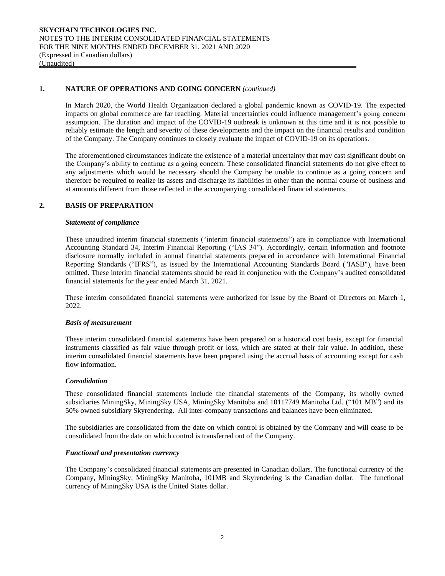## **1. NATURE OF OPERATIONS AND GOING CONCERN** *(continued)*

In March 2020, the World Health Organization declared a global pandemic known as COVID-19. The expected impacts on global commerce are far reaching. Material uncertainties could influence management's going concern assumption. The duration and impact of the COVID-19 outbreak is unknown at this time and it is not possible to reliably estimate the length and severity of these developments and the impact on the financial results and condition of the Company. The Company continues to closely evaluate the impact of COVID-19 on its operations.

The aforementioned circumstances indicate the existence of a material uncertainty that may cast significant doubt on the Company's ability to continue as a going concern. These consolidated financial statements do not give effect to any adjustments which would be necessary should the Company be unable to continue as a going concern and therefore be required to realize its assets and discharge its liabilities in other than the normal course of business and at amounts different from those reflected in the accompanying consolidated financial statements.

# **2. BASIS OF PREPARATION**

#### *Statement of compliance*

These unaudited interim financial statements ("interim financial statements") are in compliance with International Accounting Standard 34, Interim Financial Reporting ("IAS 34"). Accordingly, certain information and footnote disclosure normally included in annual financial statements prepared in accordance with International Financial Reporting Standards ("IFRS"), as issued by the International Accounting Standards Board ("IASB"), have been omitted. These interim financial statements should be read in conjunction with the Company's audited consolidated financial statements for the year ended March 31, 2021.

These interim consolidated financial statements were authorized for issue by the Board of Directors on March 1, 2022.

#### *Basis of measurement*

These interim consolidated financial statements have been prepared on a historical cost basis, except for financial instruments classified as fair value through profit or loss, which are stated at their fair value. In addition, these interim consolidated financial statements have been prepared using the accrual basis of accounting except for cash flow information.

#### *Consolidation*

These consolidated financial statements include the financial statements of the Company, its wholly owned subsidiaries MiningSky, MiningSky USA, MiningSky Manitoba and 10117749 Manitoba Ltd. ("101 MB") and its 50% owned subsidiary Skyrendering. All inter-company transactions and balances have been eliminated.

The subsidiaries are consolidated from the date on which control is obtained by the Company and will cease to be consolidated from the date on which control is transferred out of the Company.

#### *Functional and presentation currency*

The Company's consolidated financial statements are presented in Canadian dollars. The functional currency of the Company, MiningSky, MiningSky Manitoba, 101MB and Skyrendering is the Canadian dollar. The functional currency of MiningSky USA is the United States dollar.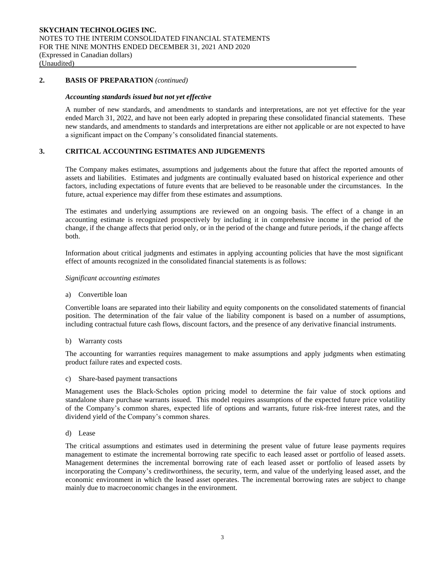## **2. BASIS OF PREPARATION** *(continued)*

#### *Accounting standards issued but not yet effective*

A number of new standards, and amendments to standards and interpretations, are not yet effective for the year ended March 31, 2022, and have not been early adopted in preparing these consolidated financial statements. These new standards, and amendments to standards and interpretations are either not applicable or are not expected to have a significant impact on the Company's consolidated financial statements.

# **3. CRITICAL ACCOUNTING ESTIMATES AND JUDGEMENTS**

The Company makes estimates, assumptions and judgements about the future that affect the reported amounts of assets and liabilities. Estimates and judgments are continually evaluated based on historical experience and other factors, including expectations of future events that are believed to be reasonable under the circumstances. In the future, actual experience may differ from these estimates and assumptions.

The estimates and underlying assumptions are reviewed on an ongoing basis. The effect of a change in an accounting estimate is recognized prospectively by including it in comprehensive income in the period of the change, if the change affects that period only, or in the period of the change and future periods, if the change affects both.

Information about critical judgments and estimates in applying accounting policies that have the most significant effect of amounts recognized in the consolidated financial statements is as follows:

#### *Significant accounting estimates*

a) Convertible loan

Convertible loans are separated into their liability and equity components on the consolidated statements of financial position. The determination of the fair value of the liability component is based on a number of assumptions, including contractual future cash flows, discount factors, and the presence of any derivative financial instruments.

b) Warranty costs

The accounting for warranties requires management to make assumptions and apply judgments when estimating product failure rates and expected costs.

c) Share-based payment transactions

Management uses the Black-Scholes option pricing model to determine the fair value of stock options and standalone share purchase warrants issued. This model requires assumptions of the expected future price volatility of the Company's common shares, expected life of options and warrants, future risk-free interest rates, and the dividend yield of the Company's common shares.

d) Lease

The critical assumptions and estimates used in determining the present value of future lease payments requires management to estimate the incremental borrowing rate specific to each leased asset or portfolio of leased assets. Management determines the incremental borrowing rate of each leased asset or portfolio of leased assets by incorporating the Company's creditworthiness, the security, term, and value of the underlying leased asset, and the economic environment in which the leased asset operates. The incremental borrowing rates are subject to change mainly due to macroeconomic changes in the environment.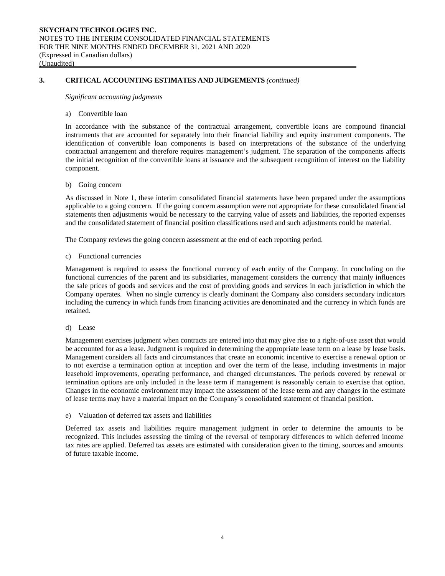# **3. CRITICAL ACCOUNTING ESTIMATES AND JUDGEMENTS** *(continued)*

*Significant accounting judgments*

#### a) Convertible loan

In accordance with the substance of the contractual arrangement, convertible loans are compound financial instruments that are accounted for separately into their financial liability and equity instrument components. The identification of convertible loan components is based on interpretations of the substance of the underlying contractual arrangement and therefore requires management's judgment. The separation of the components affects the initial recognition of the convertible loans at issuance and the subsequent recognition of interest on the liability component.

#### b) Going concern

As discussed in Note 1, these interim consolidated financial statements have been prepared under the assumptions applicable to a going concern. If the going concern assumption were not appropriate for these consolidated financial statements then adjustments would be necessary to the carrying value of assets and liabilities, the reported expenses and the consolidated statement of financial position classifications used and such adjustments could be material.

The Company reviews the going concern assessment at the end of each reporting period.

c) Functional currencies

Management is required to assess the functional currency of each entity of the Company. In concluding on the functional currencies of the parent and its subsidiaries, management considers the currency that mainly influences the sale prices of goods and services and the cost of providing goods and services in each jurisdiction in which the Company operates. When no single currency is clearly dominant the Company also considers secondary indicators including the currency in which funds from financing activities are denominated and the currency in which funds are retained.

d) Lease

Management exercises judgment when contracts are entered into that may give rise to a right-of-use asset that would be accounted for as a lease. Judgment is required in determining the appropriate lease term on a lease by lease basis. Management considers all facts and circumstances that create an economic incentive to exercise a renewal option or to not exercise a termination option at inception and over the term of the lease, including investments in major leasehold improvements, operating performance, and changed circumstances. The periods covered by renewal or termination options are only included in the lease term if management is reasonably certain to exercise that option. Changes in the economic environment may impact the assessment of the lease term and any changes in the estimate of lease terms may have a material impact on the Company's consolidated statement of financial position.

e) Valuation of deferred tax assets and liabilities

Deferred tax assets and liabilities require management judgment in order to determine the amounts to be recognized. This includes assessing the timing of the reversal of temporary differences to which deferred income tax rates are applied. Deferred tax assets are estimated with consideration given to the timing, sources and amounts of future taxable income.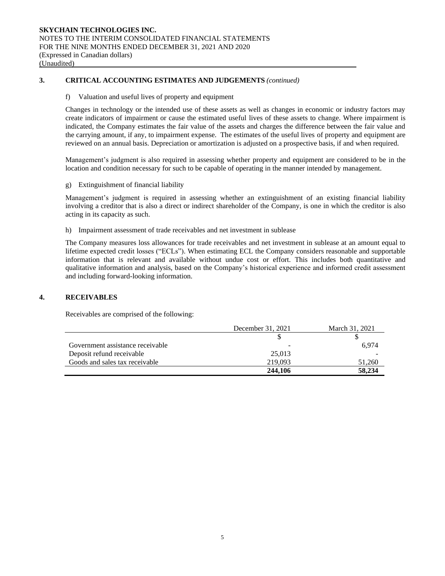# **3. CRITICAL ACCOUNTING ESTIMATES AND JUDGEMENTS** *(continued)*

# f) Valuation and useful lives of property and equipment

Changes in technology or the intended use of these assets as well as changes in economic or industry factors may create indicators of impairment or cause the estimated useful lives of these assets to change. Where impairment is indicated, the Company estimates the fair value of the assets and charges the difference between the fair value and the carrying amount, if any, to impairment expense. The estimates of the useful lives of property and equipment are reviewed on an annual basis. Depreciation or amortization is adjusted on a prospective basis, if and when required.

Management's judgment is also required in assessing whether property and equipment are considered to be in the location and condition necessary for such to be capable of operating in the manner intended by management.

#### g) Extinguishment of financial liability

Management's judgment is required in assessing whether an extinguishment of an existing financial liability involving a creditor that is also a direct or indirect shareholder of the Company, is one in which the creditor is also acting in its capacity as such.

h) Impairment assessment of trade receivables and net investment in sublease

The Company measures loss allowances for trade receivables and net investment in sublease at an amount equal to lifetime expected credit losses ("ECLs"). When estimating ECL the Company considers reasonable and supportable information that is relevant and available without undue cost or effort. This includes both quantitative and qualitative information and analysis, based on the Company's historical experience and informed credit assessment and including forward-looking information.

# **4. RECEIVABLES**

Receivables are comprised of the following:

|                                  | December 31, 2021 | March 31, 2021 |
|----------------------------------|-------------------|----------------|
|                                  |                   |                |
| Government assistance receivable |                   | 6.974          |
| Deposit refund receivable        | 25,013            |                |
| Goods and sales tax receivable   | 219.093           | 51.260         |
|                                  | 244,106           | 58,234         |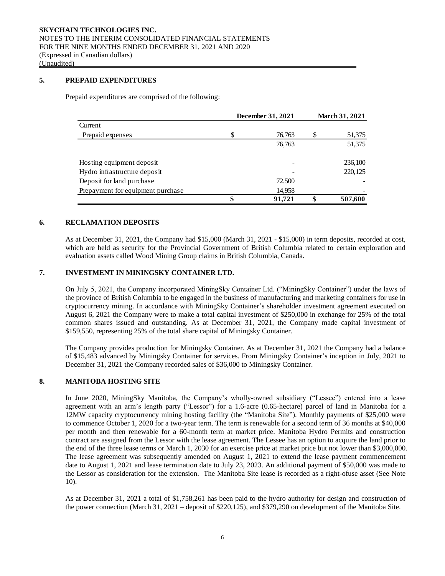# **5. PREPAID EXPENDITURES**

Prepaid expenditures are comprised of the following:

|                                   |    | December 31, 2021 |    | <b>March 31, 2021</b> |
|-----------------------------------|----|-------------------|----|-----------------------|
| Current                           |    |                   |    |                       |
| Prepaid expenses                  | S  | 76,763            | S  | 51,375                |
|                                   |    | 76,763            |    | 51,375                |
| Hosting equipment deposit         |    |                   |    | 236,100               |
| Hydro infrastructure deposit      |    |                   |    | 220,125               |
| Deposit for land purchase         |    | 72,500            |    |                       |
| Prepayment for equipment purchase |    | 14,958            |    |                       |
|                                   | \$ | 91,721            | \$ | 507,600               |

# **6. RECLAMATION DEPOSITS**

As at December 31, 2021, the Company had \$15,000 (March 31, 2021 - \$15,000) in term deposits, recorded at cost, which are held as security for the Provincial Government of British Columbia related to certain exploration and evaluation assets called Wood Mining Group claims in British Columbia, Canada.

# **7. INVESTMENT IN MININGSKY CONTAINER LTD.**

On July 5, 2021, the Company incorporated MiningSky Container Ltd. ("MiningSky Container") under the laws of the province of British Columbia to be engaged in the business of manufacturing and marketing containers for use in cryptocurrency mining. In accordance with MiningSky Container's shareholder investment agreement executed on August 6, 2021 the Company were to make a total capital investment of \$250,000 in exchange for 25% of the total common shares issued and outstanding. As at December 31, 2021, the Company made capital investment of \$159,550, representing 25% of the total share capital of Miningsky Container.

The Company provides production for Miningsky Container. As at December 31, 2021 the Company had a balance of \$15,483 advanced by Miningsky Container for services. From Miningsky Container's inception in July, 2021 to December 31, 2021 the Company recorded sales of \$36,000 to Miningsky Container.

#### **8. MANITOBA HOSTING SITE**

In June 2020, MiningSky Manitoba, the Company's wholly-owned subsidiary ("Lessee") entered into a lease agreement with an arm's length party ("Lessor") for a 1.6-acre (0.65-hectare) parcel of land in Manitoba for a 12MW capacity cryptocurrency mining hosting facility (the "Manitoba Site"). Monthly payments of \$25,000 were to commence October 1, 2020 for a two-year term. The term is renewable for a second term of 36 months at \$40,000 per month and then renewable for a 60-month term at market price. Manitoba Hydro Permits and construction contract are assigned from the Lessor with the lease agreement. The Lessee has an option to acquire the land prior to the end of the three lease terms or March 1, 2030 for an exercise price at market price but not lower than \$3,000,000. The lease agreement was subsequently amended on August 1, 2021 to extend the lease payment commencement date to August 1, 2021 and lease termination date to July 23, 2023. An additional payment of \$50,000 was made to the Lessor as consideration for the extension. The Manitoba Site lease is recorded as a right-ofuse asset (See Note 10).

As at December 31, 2021 a total of \$1,758,261 has been paid to the hydro authority for design and construction of the power connection (March 31, 2021 – deposit of \$220,125), and \$379,290 on development of the Manitoba Site.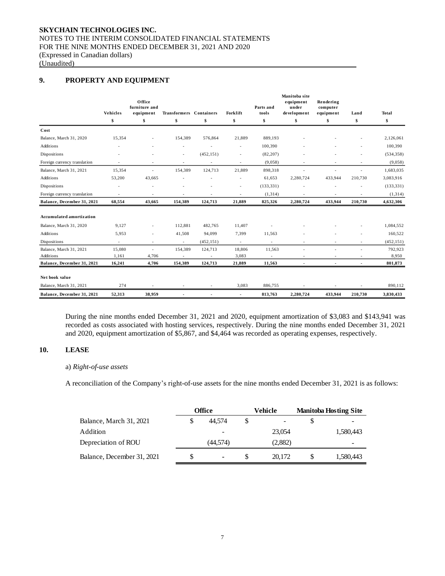## **SKYCHAIN TECHNOLOGIES INC.** NOTES TO THE INTERIM CONSOLIDATED FINANCIAL STATEMENTS FOR THE NINE MONTHS ENDED DECEMBER 31, 2021 AND 2020 (Expressed in Canadian dollars) (Unaudited)

# **9. PROPERTY AND EQUIPMENT**

|                                 | Vehicles                 | Office<br>furniture and<br>equipment | Transformers Containers  |                          | Forklift                 | Parts and<br>tools       | Manitoba site<br>equipment<br>under<br>development | Rendering<br>computer<br>equipment | Land                     | <b>Total</b> |
|---------------------------------|--------------------------|--------------------------------------|--------------------------|--------------------------|--------------------------|--------------------------|----------------------------------------------------|------------------------------------|--------------------------|--------------|
|                                 | \$                       | \$                                   | \$                       | \$                       | \$                       | \$                       | \$                                                 | \$                                 | \$                       | \$           |
| Cost                            |                          |                                      |                          |                          |                          |                          |                                                    |                                    |                          |              |
| Balance, March 31, 2020         | 15,354                   | $\overline{a}$                       | 154,389                  | 576,864                  | 21,889                   | 889,193                  |                                                    |                                    |                          | 2,126,061    |
| <b>Additions</b>                |                          |                                      | ٠                        |                          |                          | 100,390                  |                                                    |                                    |                          | 100,390      |
| Dispositions                    |                          |                                      | ÷,                       | (452, 151)               |                          | (82, 207)                |                                                    |                                    |                          | (534, 358)   |
| Foreign currency translation    | $\overline{\phantom{a}}$ | $\overline{a}$                       | ÷,                       | $\overline{\phantom{a}}$ | $\overline{\phantom{a}}$ | (9,058)                  |                                                    | ÷,                                 | $\overline{\phantom{a}}$ | (9,058)      |
| Balance, March 31, 2021         | 15,354                   | $\overline{a}$                       | 154,389                  | 124,713                  | 21,889                   | 898,318                  |                                                    | $\overline{a}$                     | ÷                        | 1,683,035    |
| <b>Additions</b>                | 53,200                   | 43,665                               | ٠                        |                          | ٠                        | 61,653                   | 2,280,724                                          | 433,944                            | 210,730                  | 3,083,916    |
| Dispositions                    |                          |                                      |                          |                          |                          | (133, 331)               |                                                    |                                    |                          | (133, 331)   |
| Foreign currency translation    | $\overline{\phantom{a}}$ | ÷                                    | ÷,                       | ÷,                       | ٠                        | (1, 314)                 |                                                    | $\overline{\phantom{a}}$           |                          | (1, 314)     |
| Balance, December 31, 2021      | 68,554                   | 43,665                               | 154,389                  | 124,713                  | 21,889                   | 825,326                  | 2,280,724                                          | 433,944                            | 210,730                  | 4,632,306    |
| <b>Accumulated amortization</b> |                          |                                      |                          |                          |                          |                          |                                                    |                                    |                          |              |
| Balance, March 31, 2020         | 9,127                    |                                      | 112,881                  | 482,765                  | 11,407                   |                          |                                                    |                                    |                          | 1,084,552    |
| Additions                       | 5,953                    | $\overline{\phantom{a}}$             | 41,508                   | 94,099                   | 7,399                    | 11,563                   |                                                    |                                    |                          | 160,522      |
| Dispositions                    | $\overline{\phantom{a}}$ | ٠                                    | $\overline{\phantom{a}}$ | (452, 151)               | $\overline{\phantom{a}}$ | $\overline{\phantom{a}}$ | ÷                                                  | ٠                                  | $\overline{\phantom{a}}$ | (452, 151)   |
| Balance, March 31, 2021         | 15,080                   | ÷,                                   | 154,389                  | 124,713                  | 18,806                   | 11,563                   |                                                    | L,                                 | ä,                       | 792,923      |
| Additions                       | 1,161                    | 4,706                                |                          |                          | 3,083                    |                          |                                                    |                                    |                          | 8,950        |
| Balance, December 31, 2021      | 16,241                   | 4,706                                | 154,389                  | 124,713                  | 21,889                   | 11,563                   | $\blacksquare$                                     | $\blacksquare$                     | ٠                        | 801,873      |
| Net book value                  |                          |                                      |                          |                          |                          |                          |                                                    |                                    |                          |              |
| Balance, March 31, 2021         | 274                      |                                      |                          |                          | 3,083                    | 886,755                  |                                                    |                                    |                          | 890,112      |
| Balance, December 31, 2021      | 52,313                   | 38,959                               | $\blacksquare$           | $\overline{\phantom{a}}$ | $\blacksquare$           | 813,763                  | 2,280,724                                          | 433,944                            | 210,730                  | 3,830,433    |

During the nine months ended December 31, 2021 and 2020, equipment amortization of \$3,083 and \$143,941 was recorded as costs associated with hosting services, respectively. During the nine months ended December 31, 2021 and 2020, equipment amortization of \$5,867, and \$4,464 was recorded as operating expenses, respectively.

## **10. LEASE**

# a) *Right-of-use assets*

A reconciliation of the Company's right-of-use assets for the nine months ended December 31, 2021 is as follows:

|                            | Office         |   | Vehicle | <b>Manitoba Hosting Site</b> |
|----------------------------|----------------|---|---------|------------------------------|
| Balance, March 31, 2021    | 44.574         | S |         |                              |
| Addition                   |                |   | 23,054  | 1,580,443                    |
| Depreciation of ROU        | (44.574)       |   | (2,882) | -                            |
| Balance, December 31, 2021 | $\blacksquare$ |   | 20,172  | 1,580,443                    |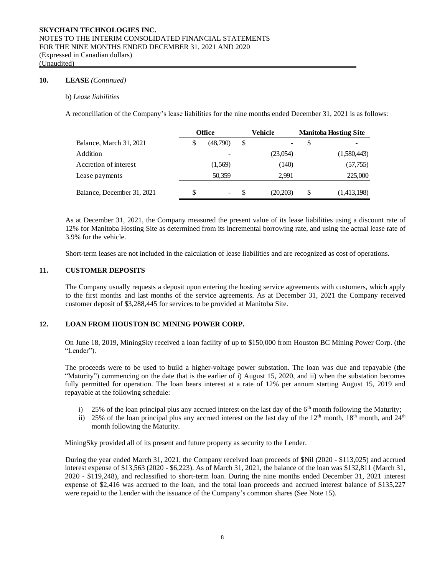#### **10. LEASE** *(Continued)*

#### b) *Lease liabilities*

A reconciliation of the Company's lease liabilities for the nine months ended December 31, 2021 is as follows:

|                            | <b>Office</b> |     | Vehicle  | <b>Manitoba Hosting Site</b> |
|----------------------------|---------------|-----|----------|------------------------------|
| Balance, March 31, 2021    | (48,790)      | \$  |          | \$                           |
| Addition                   |               |     | (23,054) | (1,580,443)                  |
| Accretion of interest      | (1,569)       |     | (140)    | (57, 755)                    |
| Lease payments             | 50,359        |     | 2.991    | 225,000                      |
| Balance, December 31, 2021 | \$<br>-       | \$. | (20,203) | \$<br>(1,413,198)            |

As at December 31, 2021, the Company measured the present value of its lease liabilities using a discount rate of 12% for Manitoba Hosting Site as determined from its incremental borrowing rate, and using the actual lease rate of 3.9% for the vehicle.

Short-term leases are not included in the calculation of lease liabilities and are recognized as cost of operations.

#### **11. CUSTOMER DEPOSITS**

The Company usually requests a deposit upon entering the hosting service agreements with customers, which apply to the first months and last months of the service agreements. As at December 31, 2021 the Company received customer deposit of \$3,288,445 for services to be provided at Manitoba Site.

# **12. LOAN FROM HOUSTON BC MINING POWER CORP.**

On June 18, 2019, MiningSky received a loan facility of up to \$150,000 from Houston BC Mining Power Corp. (the "Lender").

The proceeds were to be used to build a higher-voltage power substation. The loan was due and repayable (the "Maturity") commencing on the date that is the earlier of i) August 15, 2020, and ii) when the substation becomes fully permitted for operation. The loan bears interest at a rate of 12% per annum starting August 15, 2019 and repayable at the following schedule:

- i) 25% of the loan principal plus any accrued interest on the last day of the  $6<sup>th</sup>$  month following the Maturity;
- ii) 25% of the loan principal plus any accrued interest on the last day of the  $12<sup>th</sup>$  month,  $18<sup>th</sup>$  month, and  $24<sup>th</sup>$ month following the Maturity.

MiningSky provided all of its present and future property as security to the Lender.

During the year ended March 31, 2021, the Company received loan proceeds of \$Nil (2020 - \$113,025) and accrued interest expense of \$13,563 (2020 - \$6,223). As of March 31, 2021, the balance of the loan was \$132,811 (March 31, 2020 - \$119,248), and reclassified to short-term loan. During the nine months ended December 31, 2021 interest expense of \$2,416 was accrued to the loan, and the total loan proceeds and accrued interest balance of \$135,227 were repaid to the Lender with the issuance of the Company's common shares (See Note 15).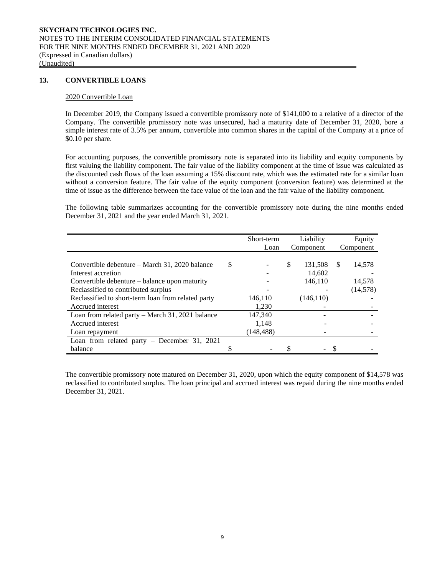## **13. CONVERTIBLE LOANS**

#### 2020 Convertible Loan

In December 2019, the Company issued a convertible promissory note of \$141,000 to a relative of a director of the Company. The convertible promissory note was unsecured, had a maturity date of December 31, 2020, bore a simple interest rate of 3.5% per annum, convertible into common shares in the capital of the Company at a price of \$0.10 per share.

For accounting purposes, the convertible promissory note is separated into its liability and equity components by first valuing the liability component. The fair value of the liability component at the time of issue was calculated as the discounted cash flows of the loan assuming a 15% discount rate, which was the estimated rate for a similar loan without a conversion feature. The fair value of the equity component (conversion feature) was determined at the time of issue as the difference between the face value of the loan and the fair value of the liability component.

The following table summarizes accounting for the convertible promissory note during the nine months ended December 31, 2021 and the year ended March 31, 2021.

|                                                    |   | Short-term |               | Liability |     | Equity    |
|----------------------------------------------------|---|------------|---------------|-----------|-----|-----------|
|                                                    |   | Loan       |               | Component |     | Component |
|                                                    |   |            |               |           |     |           |
| Convertible debenture – March 31, 2020 balance     | S |            | <sup>\$</sup> | 131,508   | \$. | 14,578    |
| Interest accretion                                 |   |            |               | 14.602    |     |           |
| Convertible debenture – balance upon maturity      |   |            |               | 146,110   |     | 14,578    |
| Reclassified to contributed surplus                |   |            |               |           |     | (14, 578) |
| Reclassified to short-term loan from related party |   | 146.110    |               | (146.110) |     |           |
| Accrued interest                                   |   | 1,230      |               |           |     |           |
| Loan from related party $-$ March 31, 2021 balance |   | 147,340    |               |           |     |           |
| Accrued interest                                   |   | 1.148      |               |           |     |           |
| Loan repayment                                     |   | (148, 488) |               |           |     |           |
| Loan from related party $-$ December 31, 2021      |   |            |               |           |     |           |
| balance                                            |   |            |               |           |     |           |

The convertible promissory note matured on December 31, 2020, upon which the equity component of \$14,578 was reclassified to contributed surplus. The loan principal and accrued interest was repaid during the nine months ended December 31, 2021.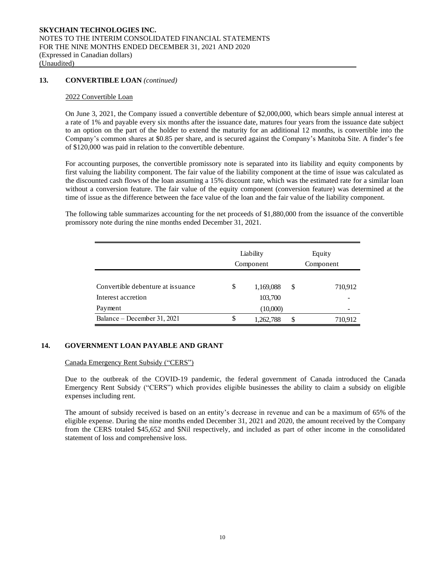## **13. CONVERTIBLE LOAN** *(continued)*

#### 2022 Convertible Loan

On June 3, 2021, the Company issued a convertible debenture of \$2,000,000, which bears simple annual interest at a rate of 1% and payable every six months after the issuance date, matures four years from the issuance date subject to an option on the part of the holder to extend the maturity for an additional 12 months, is convertible into the Company's common shares at \$0.85 per share, and is secured against the Company's Manitoba Site. A finder's fee of \$120,000 was paid in relation to the convertible debenture.

For accounting purposes, the convertible promissory note is separated into its liability and equity components by first valuing the liability component. The fair value of the liability component at the time of issue was calculated as the discounted cash flows of the loan assuming a 15% discount rate, which was the estimated rate for a similar loan without a conversion feature. The fair value of the equity component (conversion feature) was determined at the time of issue as the difference between the face value of the loan and the fair value of the liability component.

The following table summarizes accounting for the net proceeds of \$1,880,000 from the issuance of the convertible promissory note during the nine months ended December 31, 2021.

|                                   | Liability<br>Component | Equity<br>Component |
|-----------------------------------|------------------------|---------------------|
| Convertible debenture at issuance | \$<br>1,169,088        | \$<br>710,912       |
| Interest accretion<br>Payment     | 103,700<br>(10,000)    |                     |
| Balance – December 31, 2021       | \$<br>1,262,788        | \$<br>710,912       |

#### **14. GOVERNMENT LOAN PAYABLE AND GRANT**

#### Canada Emergency Rent Subsidy ("CERS")

Due to the outbreak of the COVID-19 pandemic, the federal government of Canada introduced the Canada Emergency Rent Subsidy ("CERS") which provides eligible businesses the ability to claim a subsidy on eligible expenses including rent.

The amount of subsidy received is based on an entity's decrease in revenue and can be a maximum of 65% of the eligible expense. During the nine months ended December 31, 2021 and 2020, the amount received by the Company from the CERS totaled \$45,652 and \$Nil respectively, and included as part of other income in the consolidated statement of loss and comprehensive loss.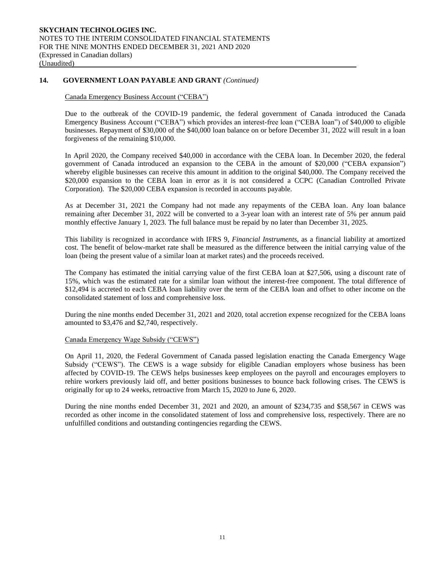# **14. GOVERNMENT LOAN PAYABLE AND GRANT** *(Continued)*

# Canada Emergency Business Account ("CEBA")

Due to the outbreak of the COVID-19 pandemic, the federal government of Canada introduced the Canada Emergency Business Account ("CEBA") which provides an interest-free loan ("CEBA loan") of \$40,000 to eligible businesses. Repayment of \$30,000 of the \$40,000 loan balance on or before December 31, 2022 will result in a loan forgiveness of the remaining \$10,000.

In April 2020, the Company received \$40,000 in accordance with the CEBA loan. In December 2020, the federal government of Canada introduced an expansion to the CEBA in the amount of \$20,000 ("CEBA expansion") whereby eligible businesses can receive this amount in addition to the original \$40,000. The Company received the \$20,000 expansion to the CEBA loan in error as it is not considered a CCPC (Canadian Controlled Private Corporation). The \$20,000 CEBA expansion is recorded in accounts payable.

As at December 31, 2021 the Company had not made any repayments of the CEBA loan. Any loan balance remaining after December 31, 2022 will be converted to a 3-year loan with an interest rate of 5% per annum paid monthly effective January 1, 2023. The full balance must be repaid by no later than December 31, 2025.

This liability is recognized in accordance with IFRS 9, *Financial Instruments*, as a financial liability at amortized cost. The benefit of below-market rate shall be measured as the difference between the initial carrying value of the loan (being the present value of a similar loan at market rates) and the proceeds received.

The Company has estimated the initial carrying value of the first CEBA loan at \$27,506, using a discount rate of 15%, which was the estimated rate for a similar loan without the interest-free component. The total difference of \$12,494 is accreted to each CEBA loan liability over the term of the CEBA loan and offset to other income on the consolidated statement of loss and comprehensive loss.

During the nine months ended December 31, 2021 and 2020, total accretion expense recognized for the CEBA loans amounted to \$3,476 and \$2,740, respectively.

## Canada Emergency Wage Subsidy ("CEWS")

On April 11, 2020, the Federal Government of Canada passed legislation enacting the Canada Emergency Wage Subsidy ("CEWS"). The CEWS is a wage subsidy for eligible Canadian employers whose business has been affected by COVID-19. The CEWS helps businesses keep employees on the payroll and encourages employers to rehire workers previously laid off, and better positions businesses to bounce back following crises. The CEWS is originally for up to 24 weeks, retroactive from March 15, 2020 to June 6, 2020.

During the nine months ended December 31, 2021 and 2020, an amount of \$234,735 and \$58,567 in CEWS was recorded as other income in the consolidated statement of loss and comprehensive loss, respectively. There are no unfulfilled conditions and outstanding contingencies regarding the CEWS.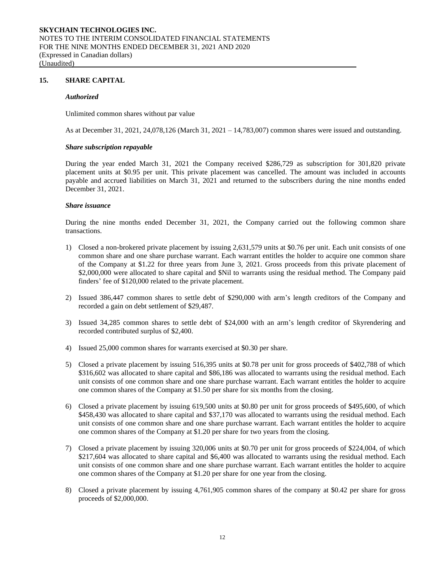#### **15. SHARE CAPITAL**

#### *Authorized*

Unlimited common shares without par value

As at December 31, 2021, 24,078,126 (March 31, 2021 – 14,783,007) common shares were issued and outstanding.

#### *Share subscription repayable*

During the year ended March 31, 2021 the Company received \$286,729 as subscription for 301,820 private placement units at \$0.95 per unit. This private placement was cancelled. The amount was included in accounts payable and accrued liabilities on March 31, 2021 and returned to the subscribers during the nine months ended December 31, 2021.

#### *Share issuance*

During the nine months ended December 31, 2021, the Company carried out the following common share transactions.

- 1) Closed a non-brokered private placement by issuing 2,631,579 units at \$0.76 per unit. Each unit consists of one common share and one share purchase warrant. Each warrant entitles the holder to acquire one common share of the Company at \$1.22 for three years from June 3, 2021. Gross proceeds from this private placement of \$2,000,000 were allocated to share capital and \$Nil to warrants using the residual method. The Company paid finders' fee of \$120,000 related to the private placement.
- 2) Issued 386,447 common shares to settle debt of \$290,000 with arm's length creditors of the Company and recorded a gain on debt settlement of \$29,487.
- 3) Issued 34,285 common shares to settle debt of \$24,000 with an arm's length creditor of Skyrendering and recorded contributed surplus of \$2,400.
- 4) Issued 25,000 common shares for warrants exercised at \$0.30 per share.
- 5) Closed a private placement by issuing 516,395 units at \$0.78 per unit for gross proceeds of \$402,788 of which \$316,602 was allocated to share capital and \$86,186 was allocated to warrants using the residual method. Each unit consists of one common share and one share purchase warrant. Each warrant entitles the holder to acquire one common shares of the Company at \$1.50 per share for six months from the closing.
- 6) Closed a private placement by issuing 619,500 units at \$0.80 per unit for gross proceeds of \$495,600, of which \$458,430 was allocated to share capital and \$37,170 was allocated to warrants using the residual method. Each unit consists of one common share and one share purchase warrant. Each warrant entitles the holder to acquire one common shares of the Company at \$1.20 per share for two years from the closing.
- 7) Closed a private placement by issuing 320,006 units at \$0.70 per unit for gross proceeds of \$224,004, of which \$217,604 was allocated to share capital and \$6,400 was allocated to warrants using the residual method. Each unit consists of one common share and one share purchase warrant. Each warrant entitles the holder to acquire one common shares of the Company at \$1.20 per share for one year from the closing.
- 8) Closed a private placement by issuing 4,761,905 common shares of the company at \$0.42 per share for gross proceeds of \$2,000,000.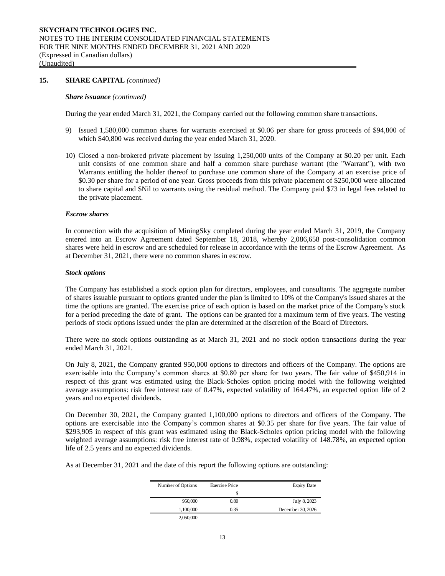#### **15. SHARE CAPITAL** *(continued)*

#### *Share issuance (continued)*

During the year ended March 31, 2021, the Company carried out the following common share transactions.

- 9) Issued 1,580,000 common shares for warrants exercised at \$0.06 per share for gross proceeds of \$94,800 of which \$40,800 was received during the year ended March 31, 2020.
- 10) Closed a non-brokered private placement by issuing 1,250,000 units of the Company at \$0.20 per unit. Each unit consists of one common share and half a common share purchase warrant (the "Warrant"), with two Warrants entitling the holder thereof to purchase one common share of the Company at an exercise price of \$0.30 per share for a period of one year. Gross proceeds from this private placement of \$250,000 were allocated to share capital and \$Nil to warrants using the residual method. The Company paid \$73 in legal fees related to the private placement.

#### *Escrow shares*

In connection with the acquisition of MiningSky completed during the year ended March 31, 2019, the Company entered into an Escrow Agreement dated September 18, 2018, whereby 2,086,658 post-consolidation common shares were held in escrow and are scheduled for release in accordance with the terms of the Escrow Agreement. As at December 31, 2021, there were no common shares in escrow.

#### *Stock options*

The Company has established a stock option plan for directors, employees, and consultants. The aggregate number of shares issuable pursuant to options granted under the plan is limited to 10% of the Company's issued shares at the time the options are granted. The exercise price of each option is based on the market price of the Company's stock for a period preceding the date of grant. The options can be granted for a maximum term of five years. The vesting periods of stock options issued under the plan are determined at the discretion of the Board of Directors.

There were no stock options outstanding as at March 31, 2021 and no stock option transactions during the year ended March 31, 2021.

On July 8, 2021, the Company granted 950,000 options to directors and officers of the Company. The options are exercisable into the Company's common shares at \$0.80 per share for two years. The fair value of \$450,914 in respect of this grant was estimated using the Black-Scholes option pricing model with the following weighted average assumptions: risk free interest rate of 0.47%, expected volatility of 164.47%, an expected option life of 2 years and no expected dividends.

On December 30, 2021, the Company granted 1,100,000 options to directors and officers of the Company. The options are exercisable into the Company's common shares at \$0.35 per share for five years. The fair value of \$293,905 in respect of this grant was estimated using the Black-Scholes option pricing model with the following weighted average assumptions: risk free interest rate of 0.98%, expected volatility of 148.78%, an expected option life of 2.5 years and no expected dividends.

As at December 31, 2021 and the date of this report the following options are outstanding:

| <b>Expiry Date</b> | <b>Exercise Price</b> | Number of Options |
|--------------------|-----------------------|-------------------|
|                    | S                     |                   |
| July 8, 2023       | 0.80                  | 950,000           |
| December 30, 2026  | 0.35                  | 1,100,000         |
|                    |                       | 2,050,000         |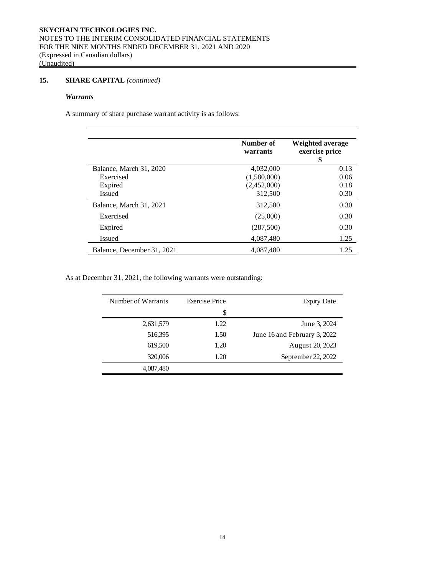# **15. SHARE CAPITAL** *(continued)*

# *Warrants*

A summary of share purchase warrant activity is as follows:

|                            | Number of<br>warrants | Weighted average<br>exercise price<br>\$ |  |  |
|----------------------------|-----------------------|------------------------------------------|--|--|
| Balance, March 31, 2020    | 4,032,000             | 0.13                                     |  |  |
| Exercised                  | (1,580,000)           | 0.06                                     |  |  |
| Expired                    | (2,452,000)           | 0.18                                     |  |  |
| Issued                     | 312,500               | 0.30                                     |  |  |
| Balance, March 31, 2021    | 312,500               | 0.30                                     |  |  |
| Exercised                  | (25,000)              | 0.30                                     |  |  |
| Expired                    | (287,500)             | 0.30                                     |  |  |
| <b>Issued</b>              | 4,087,480             | 1.25                                     |  |  |
| Balance, December 31, 2021 | 4,087,480             | 1.25                                     |  |  |

As at December 31, 2021, the following warrants were outstanding:

| Number of Warrants | <b>Exercise Price</b> | <b>Expiry Date</b>           |
|--------------------|-----------------------|------------------------------|
|                    | \$                    |                              |
| 2,631,579          | 1.22                  | June 3, 2024                 |
| 516,395            | 1.50                  | June 16 and February 3, 2022 |
| 619,500            | 1.20                  | August 20, 2023              |
| 320,006            | 1.20                  | September 22, 2022           |
| 4,087,480          |                       |                              |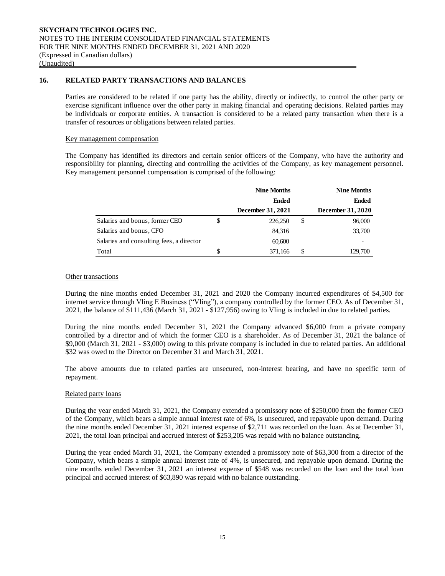# **16. RELATED PARTY TRANSACTIONS AND BALANCES**

Parties are considered to be related if one party has the ability, directly or indirectly, to control the other party or exercise significant influence over the other party in making financial and operating decisions. Related parties may be individuals or corporate entities. A transaction is considered to be a related party transaction when there is a transfer of resources or obligations between related parties.

#### Key management compensation

The Company has identified its directors and certain senior officers of the Company, who have the authority and responsibility for planning, directing and controlling the activities of the Company, as key management personnel. Key management personnel compensation is comprised of the following:

|                                          | <b>Nine Months</b> | <b>Nine Months</b> |                   |  |
|------------------------------------------|--------------------|--------------------|-------------------|--|
|                                          | <b>Ended</b>       |                    | <b>Ended</b>      |  |
|                                          | December 31, 2021  |                    | December 31, 2020 |  |
| Salaries and bonus, former CEO           | \$<br>226,250      | \$                 | 96,000            |  |
| Salaries and bonus, CFO                  | 84,316             |                    | 33,700            |  |
| Salaries and consulting fees, a director | 60,600             |                    |                   |  |
| Total                                    | 371,166            | \$                 | 129,700           |  |

# Other transactions

During the nine months ended December 31, 2021 and 2020 the Company incurred expenditures of \$4,500 for internet service through Vling E Business ("Vling"), a company controlled by the former CEO. As of December 31, 2021, the balance of \$111,436 (March 31, 2021 - \$127,956) owing to Vling is included in due to related parties.

During the nine months ended December 31, 2021 the Company advanced \$6,000 from a private company controlled by a director and of which the former CEO is a shareholder. As of December 31, 2021 the balance of \$9,000 (March 31, 2021 - \$3,000) owing to this private company is included in due to related parties. An additional \$32 was owed to the Director on December 31 and March 31, 2021.

The above amounts due to related parties are unsecured, non-interest bearing, and have no specific term of repayment.

#### Related party loans

During the year ended March 31, 2021, the Company extended a promissory note of \$250,000 from the former CEO of the Company, which bears a simple annual interest rate of 6%, is unsecured, and repayable upon demand. During the nine months ended December 31, 2021 interest expense of \$2,711 was recorded on the loan. As at December 31, 2021, the total loan principal and accrued interest of \$253,205 was repaid with no balance outstanding.

During the year ended March 31, 2021, the Company extended a promissory note of \$63,300 from a director of the Company, which bears a simple annual interest rate of 4%, is unsecured, and repayable upon demand. During the nine months ended December 31, 2021 an interest expense of \$548 was recorded on the loan and the total loan principal and accrued interest of \$63,890 was repaid with no balance outstanding.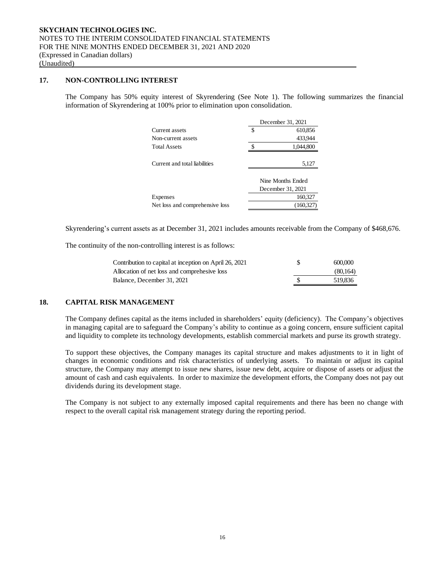# **17. NON-CONTROLLING INTEREST**

The Company has 50% equity interest of Skyrendering (See Note 1). The following summarizes the financial information of Skyrendering at 100% prior to elimination upon consolidation.

|                                 | December 31, 2021 |                   |  |
|---------------------------------|-------------------|-------------------|--|
| Current assets                  | S                 | 610,856           |  |
| Non-current assets              |                   | 433,944           |  |
| <b>Total Assets</b>             | ¢                 | 1,044,800         |  |
|                                 |                   |                   |  |
| Current and total liabilities   |                   | 5,127             |  |
|                                 |                   |                   |  |
|                                 |                   | Nine Months Ended |  |
|                                 | December 31, 2021 |                   |  |
| Expenses                        |                   | 160,327           |  |
| Net loss and comprehensive loss |                   | (160.327)         |  |

Skyrendering's current assets as at December 31, 2021 includes amounts receivable from the Company of \$468,676.

The continuity of the non-controlling interest is as follows:

| Contribution to capital at inception on April 26, 2021 | 600,000  |
|--------------------------------------------------------|----------|
| Allocation of net loss and comprehesive loss           | (80.164) |
| Balance, December 31, 2021                             | 519.836  |

# **18. CAPITAL RISK MANAGEMENT**

The Company defines capital as the items included in shareholders' equity (deficiency). The Company's objectives in managing capital are to safeguard the Company's ability to continue as a going concern, ensure sufficient capital and liquidity to complete its technology developments, establish commercial markets and purse its growth strategy.

To support these objectives, the Company manages its capital structure and makes adjustments to it in light of changes in economic conditions and risk characteristics of underlying assets. To maintain or adjust its capital structure, the Company may attempt to issue new shares, issue new debt, acquire or dispose of assets or adjust the amount of cash and cash equivalents. In order to maximize the development efforts, the Company does not pay out dividends during its development stage.

The Company is not subject to any externally imposed capital requirements and there has been no change with respect to the overall capital risk management strategy during the reporting period.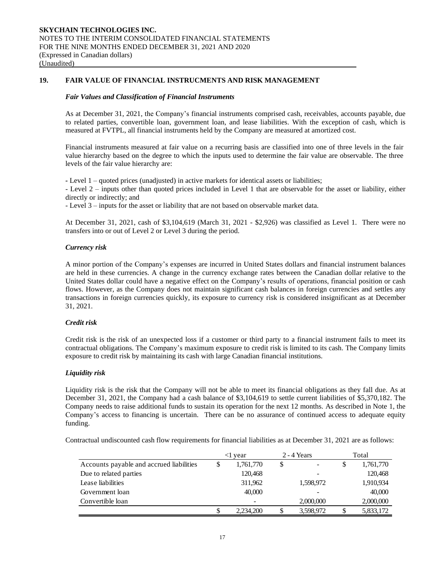# **19. FAIR VALUE OF FINANCIAL INSTRUCMENTS AND RISK MANAGEMENT**

#### *Fair Values and Classification of Financial Instruments*

As at December 31, 2021, the Company's financial instruments comprised cash, receivables, accounts payable, due to related parties, convertible loan, government loan, and lease liabilities. With the exception of cash, which is measured at FVTPL, all financial instruments held by the Company are measured at amortized cost.

Financial instruments measured at fair value on a recurring basis are classified into one of three levels in the fair value hierarchy based on the degree to which the inputs used to determine the fair value are observable. The three levels of the fair value hierarchy are:

*-* Level 1 – quoted prices (unadjusted) in active markets for identical assets or liabilities;

- Level 2 – inputs other than quoted prices included in Level 1 that are observable for the asset or liability, either directly or indirectly; and

- Level 3 – inputs for the asset or liability that are not based on observable market data.

At December 31, 2021, cash of \$3,104,619 (March 31, 2021 - \$2,926) was classified as Level 1. There were no transfers into or out of Level 2 or Level 3 during the period.

#### *Currency risk*

A minor portion of the Company's expenses are incurred in United States dollars and financial instrument balances are held in these currencies. A change in the currency exchange rates between the Canadian dollar relative to the United States dollar could have a negative effect on the Company's results of operations, financial position or cash flows. However, as the Company does not maintain significant cash balances in foreign currencies and settles any transactions in foreign currencies quickly, its exposure to currency risk is considered insignificant as at December 31, 2021.

#### *Credit risk*

Credit risk is the risk of an unexpected loss if a customer or third party to a financial instrument fails to meet its contractual obligations. The Company's maximum exposure to credit risk is limited to its cash. The Company limits exposure to credit risk by maintaining its cash with large Canadian financial institutions.

#### *Liquidity risk*

Liquidity risk is the risk that the Company will not be able to meet its financial obligations as they fall due. As at December 31, 2021, the Company had a cash balance of \$3,104,619 to settle current liabilities of \$5,370,182. The Company needs to raise additional funds to sustain its operation for the next 12 months. As described in Note 1, the Company's access to financing is uncertain. There can be no assurance of continued access to adequate equity funding.

Contractual undiscounted cash flow requirements for financial liabilities as at December 31, 2021 are as follows:

|                                          |   | vear      | 2 - 4 Years     |   | Total     |
|------------------------------------------|---|-----------|-----------------|---|-----------|
| Accounts payable and accrued liabilities | S | 1,761,770 | \$              | S | 1,761,770 |
| Due to related parties                   |   | 120,468   |                 |   | 120,468   |
| Lease liabilities                        |   | 311,962   | 1,598,972       |   | 1,910,934 |
| Government loan                          |   | 40,000    |                 |   | 40,000    |
| Convertible loan                         |   |           | 2,000,000       |   | 2,000,000 |
|                                          |   | 2.234.200 | \$<br>3,598,972 |   | 5,833,172 |